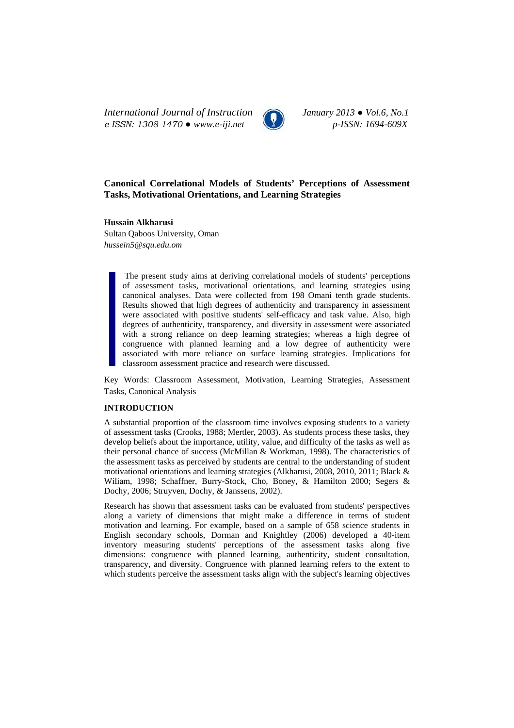*International Journal of Instruction January 2013 ● Vol.6, No.1 e-ISSN: 1308-1470 ● www.e-iji.net p-ISSN: 1694-609X*



# **Canonical Correlational Models of Students' Perceptions of Assessment Tasks, Motivational Orientations, and Learning Strategies**

**Hussain Alkharusi**  Sultan Qaboos University, Oman *hussein5@squ.edu.om*

> The present study aims at deriving correlational models of students' perceptions of assessment tasks, motivational orientations, and learning strategies using canonical analyses. Data were collected from 198 Omani tenth grade students. Results showed that high degrees of authenticity and transparency in assessment were associated with positive students' self-efficacy and task value. Also, high degrees of authenticity, transparency, and diversity in assessment were associated with a strong reliance on deep learning strategies; whereas a high degree of congruence with planned learning and a low degree of authenticity were associated with more reliance on surface learning strategies. Implications for classroom assessment practice and research were discussed.

Key Words: Classroom Assessment, Motivation, Learning Strategies, Assessment Tasks, Canonical Analysis

## **INTRODUCTION**

A substantial proportion of the classroom time involves exposing students to a variety of assessment tasks (Crooks, 1988; Mertler, 2003). As students process these tasks, they develop beliefs about the importance, utility, value, and difficulty of the tasks as well as their personal chance of success (McMillan & Workman, 1998). The characteristics of the assessment tasks as perceived by students are central to the understanding of student motivational orientations and learning strategies (Alkharusi, 2008, 2010, 2011; Black & Wiliam, 1998; Schaffner, Burry-Stock, Cho, Boney, & Hamilton 2000; Segers & Dochy, 2006; Struyven, Dochy, & Janssens, 2002).

Research has shown that assessment tasks can be evaluated from students' perspectives along a variety of dimensions that might make a difference in terms of student motivation and learning. For example, based on a sample of 658 science students in English secondary schools, Dorman and Knightley (2006) developed a 40-item inventory measuring students' perceptions of the assessment tasks along five dimensions: congruence with planned learning, authenticity, student consultation, transparency, and diversity. Congruence with planned learning refers to the extent to which students perceive the assessment tasks align with the subject's learning objectives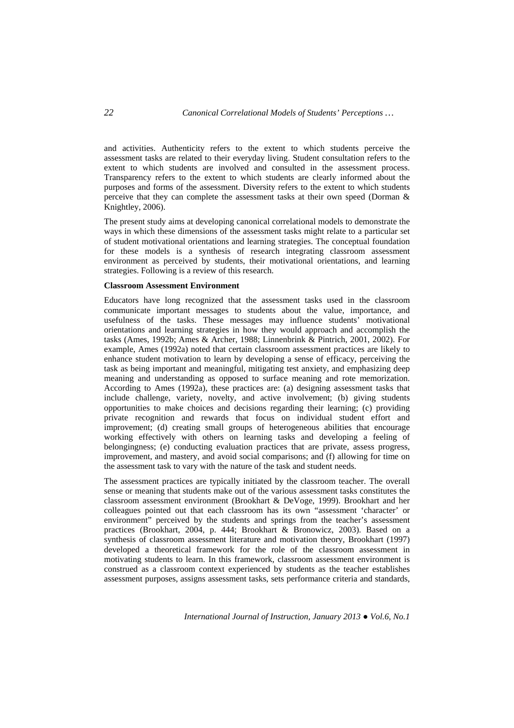and activities. Authenticity refers to the extent to which students perceive the assessment tasks are related to their everyday living. Student consultation refers to the extent to which students are involved and consulted in the assessment process. Transparency refers to the extent to which students are clearly informed about the purposes and forms of the assessment. Diversity refers to the extent to which students perceive that they can complete the assessment tasks at their own speed (Dorman & Knightley, 2006).

The present study aims at developing canonical correlational models to demonstrate the ways in which these dimensions of the assessment tasks might relate to a particular set of student motivational orientations and learning strategies. The conceptual foundation for these models is a synthesis of research integrating classroom assessment environment as perceived by students, their motivational orientations, and learning strategies. Following is a review of this research.

### **Classroom Assessment Environment**

Educators have long recognized that the assessment tasks used in the classroom communicate important messages to students about the value, importance, and usefulness of the tasks. These messages may influence students' motivational orientations and learning strategies in how they would approach and accomplish the tasks (Ames, 1992b; Ames & Archer, 1988; Linnenbrink & Pintrich, 2001, 2002). For example, Ames (1992a) noted that certain classroom assessment practices are likely to enhance student motivation to learn by developing a sense of efficacy, perceiving the task as being important and meaningful, mitigating test anxiety, and emphasizing deep meaning and understanding as opposed to surface meaning and rote memorization. According to Ames (1992a), these practices are: (a) designing assessment tasks that include challenge, variety, novelty, and active involvement; (b) giving students opportunities to make choices and decisions regarding their learning; (c) providing private recognition and rewards that focus on individual student effort and improvement; (d) creating small groups of heterogeneous abilities that encourage working effectively with others on learning tasks and developing a feeling of belongingness; (e) conducting evaluation practices that are private, assess progress, improvement, and mastery, and avoid social comparisons; and (f) allowing for time on the assessment task to vary with the nature of the task and student needs.

The assessment practices are typically initiated by the classroom teacher. The overall sense or meaning that students make out of the various assessment tasks constitutes the classroom assessment environment (Brookhart & DeVoge, 1999). Brookhart and her colleagues pointed out that each classroom has its own "assessment 'character' or environment" perceived by the students and springs from the teacher's assessment practices (Brookhart, 2004, p. 444; Brookhart & Bronowicz, 2003). Based on a synthesis of classroom assessment literature and motivation theory, Brookhart (1997) developed a theoretical framework for the role of the classroom assessment in motivating students to learn. In this framework, classroom assessment environment is construed as a classroom context experienced by students as the teacher establishes assessment purposes, assigns assessment tasks, sets performance criteria and standards,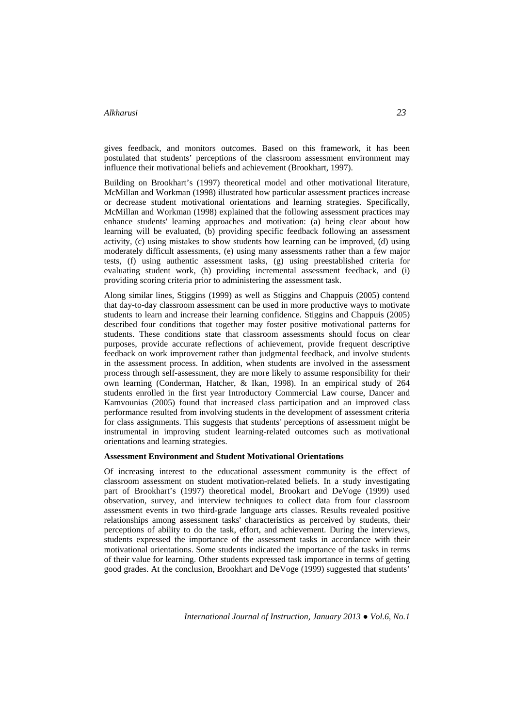gives feedback, and monitors outcomes. Based on this framework, it has been postulated that students' perceptions of the classroom assessment environment may influence their motivational beliefs and achievement (Brookhart, 1997).

Building on Brookhart's (1997) theoretical model and other motivational literature, McMillan and Workman (1998) illustrated how particular assessment practices increase or decrease student motivational orientations and learning strategies. Specifically, McMillan and Workman (1998) explained that the following assessment practices may enhance students' learning approaches and motivation: (a) being clear about how learning will be evaluated, (b) providing specific feedback following an assessment activity, (c) using mistakes to show students how learning can be improved, (d) using moderately difficult assessments, (e) using many assessments rather than a few major tests, (f) using authentic assessment tasks, (g) using preestablished criteria for evaluating student work, (h) providing incremental assessment feedback, and (i) providing scoring criteria prior to administering the assessment task.

Along similar lines, Stiggins (1999) as well as Stiggins and Chappuis (2005) contend that day-to-day classroom assessment can be used in more productive ways to motivate students to learn and increase their learning confidence. Stiggins and Chappuis (2005) described four conditions that together may foster positive motivational patterns for students. These conditions state that classroom assessments should focus on clear purposes, provide accurate reflections of achievement, provide frequent descriptive feedback on work improvement rather than judgmental feedback, and involve students in the assessment process. In addition, when students are involved in the assessment process through self-assessment, they are more likely to assume responsibility for their own learning (Conderman, Hatcher, & Ikan, 1998). In an empirical study of 264 students enrolled in the first year Introductory Commercial Law course, Dancer and Kamvounias (2005) found that increased class participation and an improved class performance resulted from involving students in the development of assessment criteria for class assignments. This suggests that students' perceptions of assessment might be instrumental in improving student learning-related outcomes such as motivational orientations and learning strategies.

#### **Assessment Environment and Student Motivational Orientations**

Of increasing interest to the educational assessment community is the effect of classroom assessment on student motivation-related beliefs. In a study investigating part of Brookhart's (1997) theoretical model, Brookart and DeVoge (1999) used observation, survey, and interview techniques to collect data from four classroom assessment events in two third-grade language arts classes. Results revealed positive relationships among assessment tasks' characteristics as perceived by students, their perceptions of ability to do the task, effort, and achievement. During the interviews, students expressed the importance of the assessment tasks in accordance with their motivational orientations. Some students indicated the importance of the tasks in terms of their value for learning. Other students expressed task importance in terms of getting good grades. At the conclusion, Brookhart and DeVoge (1999) suggested that students'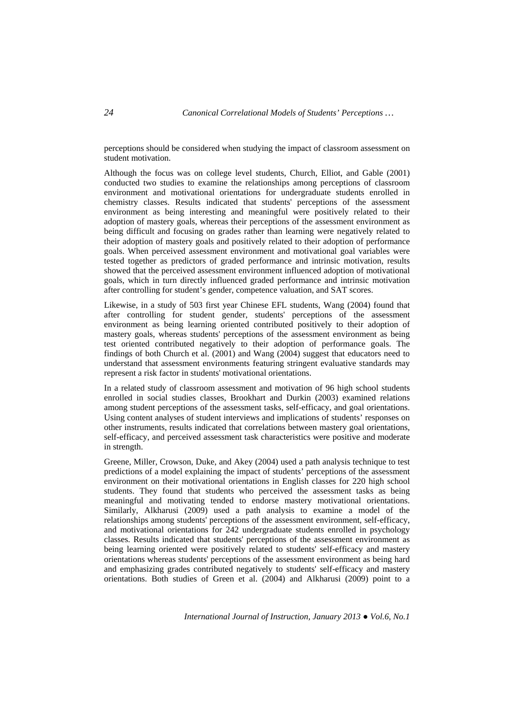perceptions should be considered when studying the impact of classroom assessment on student motivation.

Although the focus was on college level students, Church, Elliot, and Gable (2001) conducted two studies to examine the relationships among perceptions of classroom environment and motivational orientations for undergraduate students enrolled in chemistry classes. Results indicated that students' perceptions of the assessment environment as being interesting and meaningful were positively related to their adoption of mastery goals, whereas their perceptions of the assessment environment as being difficult and focusing on grades rather than learning were negatively related to their adoption of mastery goals and positively related to their adoption of performance goals. When perceived assessment environment and motivational goal variables were tested together as predictors of graded performance and intrinsic motivation, results showed that the perceived assessment environment influenced adoption of motivational goals, which in turn directly influenced graded performance and intrinsic motivation after controlling for student's gender, competence valuation, and SAT scores.

Likewise, in a study of 503 first year Chinese EFL students, Wang (2004) found that after controlling for student gender, students' perceptions of the assessment environment as being learning oriented contributed positively to their adoption of mastery goals, whereas students' perceptions of the assessment environment as being test oriented contributed negatively to their adoption of performance goals. The findings of both Church et al. (2001) and Wang (2004) suggest that educators need to understand that assessment environments featuring stringent evaluative standards may represent a risk factor in students' motivational orientations.

In a related study of classroom assessment and motivation of 96 high school students enrolled in social studies classes, Brookhart and Durkin (2003) examined relations among student perceptions of the assessment tasks, self-efficacy, and goal orientations. Using content analyses of student interviews and implications of students' responses on other instruments, results indicated that correlations between mastery goal orientations, self-efficacy, and perceived assessment task characteristics were positive and moderate in strength.

Greene, Miller, Crowson, Duke, and Akey (2004) used a path analysis technique to test predictions of a model explaining the impact of students' perceptions of the assessment environment on their motivational orientations in English classes for 220 high school students. They found that students who perceived the assessment tasks as being meaningful and motivating tended to endorse mastery motivational orientations. Similarly, Alkharusi (2009) used a path analysis to examine a model of the relationships among students' perceptions of the assessment environment, self-efficacy, and motivational orientations for 242 undergraduate students enrolled in psychology classes. Results indicated that students' perceptions of the assessment environment as being learning oriented were positively related to students' self-efficacy and mastery orientations whereas students' perceptions of the assessment environment as being hard and emphasizing grades contributed negatively to students' self-efficacy and mastery orientations. Both studies of Green et al. (2004) and Alkharusi (2009) point to a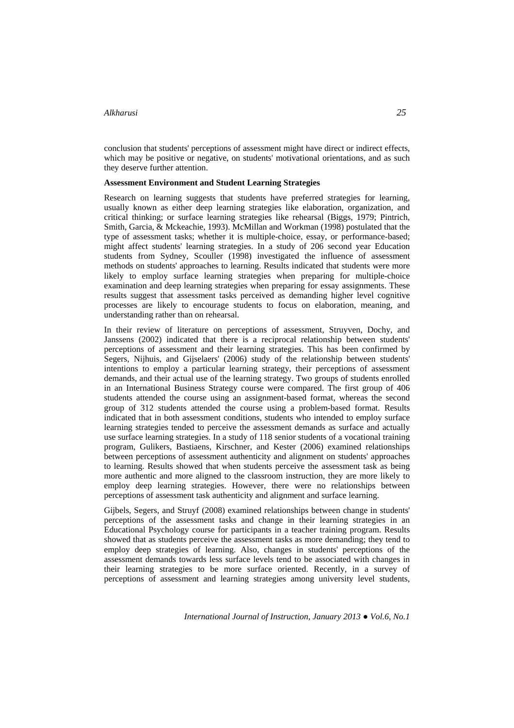conclusion that students' perceptions of assessment might have direct or indirect effects, which may be positive or negative, on students' motivational orientations, and as such they deserve further attention.

#### **Assessment Environment and Student Learning Strategies**

Research on learning suggests that students have preferred strategies for learning, usually known as either deep learning strategies like elaboration, organization, and critical thinking; or surface learning strategies like rehearsal (Biggs, 1979; Pintrich, Smith, Garcia, & Mckeachie, 1993). McMillan and Workman (1998) postulated that the type of assessment tasks; whether it is multiple-choice, essay, or performance-based; might affect students' learning strategies. In a study of 206 second year Education students from Sydney, Scouller (1998) investigated the influence of assessment methods on students' approaches to learning. Results indicated that students were more likely to employ surface learning strategies when preparing for multiple-choice examination and deep learning strategies when preparing for essay assignments. These results suggest that assessment tasks perceived as demanding higher level cognitive processes are likely to encourage students to focus on elaboration, meaning, and understanding rather than on rehearsal.

In their review of literature on perceptions of assessment, Struyven, Dochy, and Janssens (2002) indicated that there is a reciprocal relationship between students' perceptions of assessment and their learning strategies. This has been confirmed by Segers, Nijhuis, and Gijselaers' (2006) study of the relationship between students' intentions to employ a particular learning strategy, their perceptions of assessment demands, and their actual use of the learning strategy. Two groups of students enrolled in an International Business Strategy course were compared. The first group of 406 students attended the course using an assignment-based format, whereas the second group of 312 students attended the course using a problem-based format. Results indicated that in both assessment conditions, students who intended to employ surface learning strategies tended to perceive the assessment demands as surface and actually use surface learning strategies. In a study of 118 senior students of a vocational training program, Gulikers, Bastiaens, Kirschner, and Kester (2006) examined relationships between perceptions of assessment authenticity and alignment on students' approaches to learning. Results showed that when students perceive the assessment task as being more authentic and more aligned to the classroom instruction, they are more likely to employ deep learning strategies. However, there were no relationships between perceptions of assessment task authenticity and alignment and surface learning.

Gijbels, Segers, and Struyf (2008) examined relationships between change in students' perceptions of the assessment tasks and change in their learning strategies in an Educational Psychology course for participants in a teacher training program. Results showed that as students perceive the assessment tasks as more demanding; they tend to employ deep strategies of learning. Also, changes in students' perceptions of the assessment demands towards less surface levels tend to be associated with changes in their learning strategies to be more surface oriented. Recently, in a survey of perceptions of assessment and learning strategies among university level students,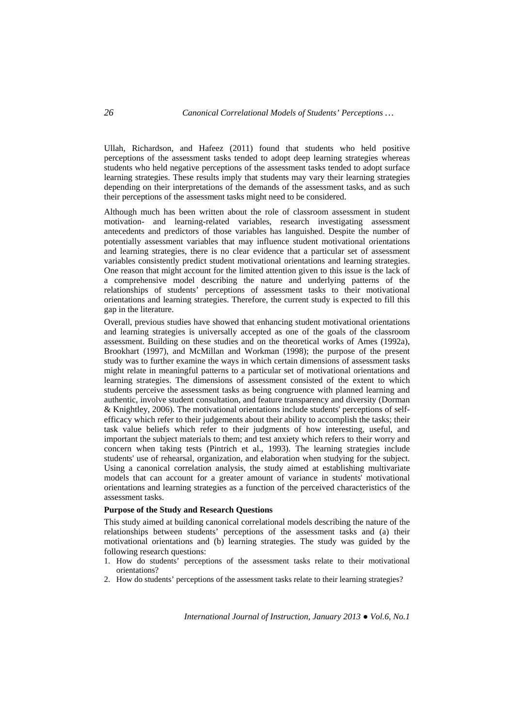Ullah, Richardson, and Hafeez (2011) found that students who held positive perceptions of the assessment tasks tended to adopt deep learning strategies whereas students who held negative perceptions of the assessment tasks tended to adopt surface learning strategies. These results imply that students may vary their learning strategies depending on their interpretations of the demands of the assessment tasks, and as such their perceptions of the assessment tasks might need to be considered.

Although much has been written about the role of classroom assessment in student motivation- and learning-related variables, research investigating assessment antecedents and predictors of those variables has languished. Despite the number of potentially assessment variables that may influence student motivational orientations and learning strategies, there is no clear evidence that a particular set of assessment variables consistently predict student motivational orientations and learning strategies. One reason that might account for the limited attention given to this issue is the lack of a comprehensive model describing the nature and underlying patterns of the relationships of students' perceptions of assessment tasks to their motivational orientations and learning strategies. Therefore, the current study is expected to fill this gap in the literature.

Overall, previous studies have showed that enhancing student motivational orientations and learning strategies is universally accepted as one of the goals of the classroom assessment. Building on these studies and on the theoretical works of Ames (1992a), Brookhart (1997), and McMillan and Workman (1998); the purpose of the present study was to further examine the ways in which certain dimensions of assessment tasks might relate in meaningful patterns to a particular set of motivational orientations and learning strategies. The dimensions of assessment consisted of the extent to which students perceive the assessment tasks as being congruence with planned learning and authentic, involve student consultation, and feature transparency and diversity (Dorman & Knightley, 2006). The motivational orientations include students' perceptions of selfefficacy which refer to their judgements about their ability to accomplish the tasks; their task value beliefs which refer to their judgments of how interesting, useful, and important the subject materials to them; and test anxiety which refers to their worry and concern when taking tests (Pintrich et al., 1993). The learning strategies include students' use of rehearsal, organization, and elaboration when studying for the subject. Using a canonical correlation analysis, the study aimed at establishing multivariate models that can account for a greater amount of variance in students' motivational orientations and learning strategies as a function of the perceived characteristics of the assessment tasks.

### **Purpose of the Study and Research Questions**

This study aimed at building canonical correlational models describing the nature of the relationships between students' perceptions of the assessment tasks and (a) their motivational orientations and (b) learning strategies. The study was guided by the following research questions:

- 1. How do students' perceptions of the assessment tasks relate to their motivational orientations?
- 2. How do students' perceptions of the assessment tasks relate to their learning strategies?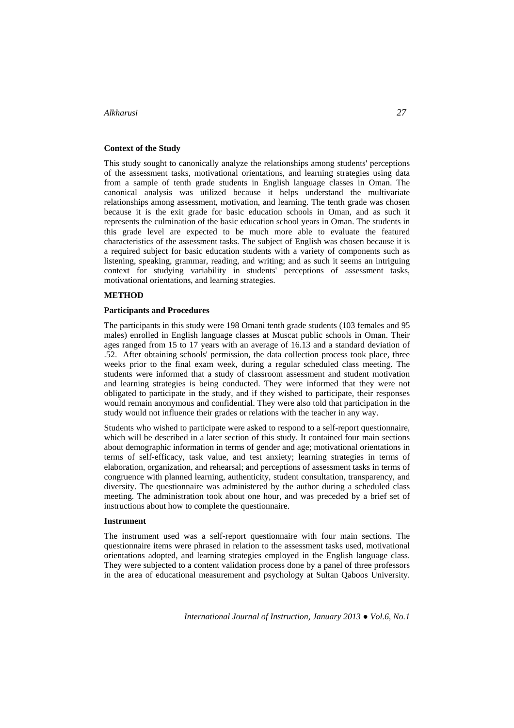## **Context of the Study**

This study sought to canonically analyze the relationships among students' perceptions of the assessment tasks, motivational orientations, and learning strategies using data from a sample of tenth grade students in English language classes in Oman. The canonical analysis was utilized because it helps understand the multivariate relationships among assessment, motivation, and learning. The tenth grade was chosen because it is the exit grade for basic education schools in Oman, and as such it represents the culmination of the basic education school years in Oman. The students in this grade level are expected to be much more able to evaluate the featured characteristics of the assessment tasks. The subject of English was chosen because it is a required subject for basic education students with a variety of components such as listening, speaking, grammar, reading, and writing; and as such it seems an intriguing context for studying variability in students' perceptions of assessment tasks, motivational orientations, and learning strategies.

### **METHOD**

#### **Participants and Procedures**

The participants in this study were 198 Omani tenth grade students (103 females and 95 males) enrolled in English language classes at Muscat public schools in Oman. Their ages ranged from 15 to 17 years with an average of 16.13 and a standard deviation of .52. After obtaining schools' permission, the data collection process took place, three weeks prior to the final exam week, during a regular scheduled class meeting. The students were informed that a study of classroom assessment and student motivation and learning strategies is being conducted. They were informed that they were not obligated to participate in the study, and if they wished to participate, their responses would remain anonymous and confidential. They were also told that participation in the study would not influence their grades or relations with the teacher in any way.

Students who wished to participate were asked to respond to a self-report questionnaire, which will be described in a later section of this study. It contained four main sections about demographic information in terms of gender and age; motivational orientations in terms of self-efficacy, task value, and test anxiety; learning strategies in terms of elaboration, organization, and rehearsal; and perceptions of assessment tasks in terms of congruence with planned learning, authenticity, student consultation, transparency, and diversity. The questionnaire was administered by the author during a scheduled class meeting. The administration took about one hour, and was preceded by a brief set of instructions about how to complete the questionnaire.

#### **Instrument**

The instrument used was a self-report questionnaire with four main sections. The questionnaire items were phrased in relation to the assessment tasks used, motivational orientations adopted, and learning strategies employed in the English language class. They were subjected to a content validation process done by a panel of three professors in the area of educational measurement and psychology at Sultan Qaboos University.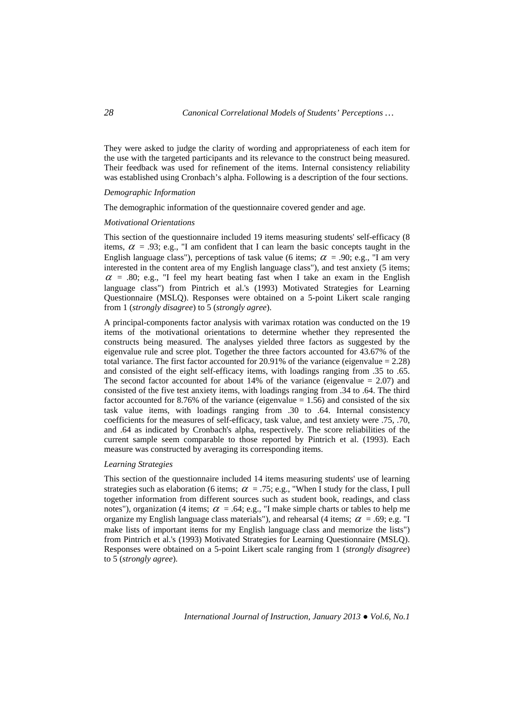They were asked to judge the clarity of wording and appropriateness of each item for the use with the targeted participants and its relevance to the construct being measured. Their feedback was used for refinement of the items. Internal consistency reliability was established using Cronbach's alpha. Following is a description of the four sections.

### *Demographic Information*

The demographic information of the questionnaire covered gender and age.

#### *Motivational Orientations*

This section of the questionnaire included 19 items measuring students' self-efficacy (8 items,  $\alpha$  = .93; e.g., "I am confident that I can learn the basic concepts taught in the English language class"), perceptions of task value (6 items;  $\alpha$  = .90; e.g., "I am very interested in the content area of my English language class"), and test anxiety (5 items;  $\alpha$  = .80; e.g., "I feel my heart beating fast when I take an exam in the English language class") from Pintrich et al.'s (1993) Motivated Strategies for Learning Questionnaire (MSLQ). Responses were obtained on a 5-point Likert scale ranging from 1 (*strongly disagree*) to 5 (*strongly agree*).

A principal-components factor analysis with varimax rotation was conducted on the 19 items of the motivational orientations to determine whether they represented the constructs being measured. The analyses yielded three factors as suggested by the eigenvalue rule and scree plot. Together the three factors accounted for 43.67% of the total variance. The first factor accounted for 20.91% of the variance (eigenvalue = 2.28) and consisted of the eight self-efficacy items, with loadings ranging from .35 to .65. The second factor accounted for about 14% of the variance (eigenvalue  $= 2.07$ ) and consisted of the five test anxiety items, with loadings ranging from .34 to .64. The third factor accounted for 8.76% of the variance (eigenvalue  $= 1.56$ ) and consisted of the six task value items, with loadings ranging from .30 to .64. Internal consistency coefficients for the measures of self-efficacy, task value, and test anxiety were .75, .70, and .64 as indicated by Cronbach's alpha, respectively. The score reliabilities of the current sample seem comparable to those reported by Pintrich et al. (1993). Each measure was constructed by averaging its corresponding items.

## *Learning Strategies*

This section of the questionnaire included 14 items measuring students' use of learning strategies such as elaboration (6 items;  $\alpha = .75$ ; e.g., "When I study for the class, I pull together information from different sources such as student book, readings, and class notes"), organization (4 items;  $\alpha = .64$ ; e.g., "I make simple charts or tables to help me organize my English language class materials"), and rehearsal (4 items;  $\alpha = .69$ ; e.g. "I make lists of important items for my English language class and memorize the lists") from Pintrich et al.'s (1993) Motivated Strategies for Learning Questionnaire (MSLQ). Responses were obtained on a 5-point Likert scale ranging from 1 (*strongly disagree*) to 5 (*strongly agree*).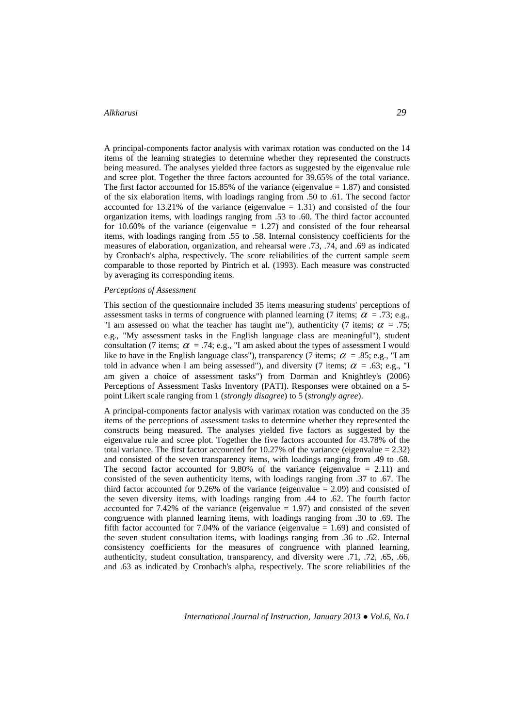A principal-components factor analysis with varimax rotation was conducted on the 14 items of the learning strategies to determine whether they represented the constructs being measured. The analyses yielded three factors as suggested by the eigenvalue rule and scree plot. Together the three factors accounted for 39.65% of the total variance. The first factor accounted for 15.85% of the variance (eigenvalue  $= 1.87$ ) and consisted of the six elaboration items, with loadings ranging from .50 to .61. The second factor accounted for 13.21% of the variance (eigenvalue  $= 1.31$ ) and consisted of the four organization items, with loadings ranging from .53 to .60. The third factor accounted for 10.60% of the variance (eigenvalue  $= 1.27$ ) and consisted of the four rehearsal items, with loadings ranging from .55 to .58. Internal consistency coefficients for the measures of elaboration, organization, and rehearsal were .73, .74, and .69 as indicated by Cronbach's alpha, respectively. The score reliabilities of the current sample seem comparable to those reported by Pintrich et al. (1993). Each measure was constructed by averaging its corresponding items.

#### *Perceptions of Assessment*

This section of the questionnaire included 35 items measuring students' perceptions of assessment tasks in terms of congruence with planned learning (7 items;  $\alpha = .73$ ; e.g., "I am assessed on what the teacher has taught me"), authenticity (7 items;  $\alpha = .75$ ; e.g., "My assessment tasks in the English language class are meaningful"), student consultation (7 items;  $\alpha = .74$ ; e.g., "I am asked about the types of assessment I would like to have in the English language class"), transparency (7 items;  $\alpha = 0.85$ ; e.g., "I am told in advance when I am being assessed"), and diversity (7 items;  $\alpha = .63$ ; e.g., "I am given a choice of assessment tasks") from Dorman and Knightley's (2006) Perceptions of Assessment Tasks Inventory (PATI). Responses were obtained on a 5 point Likert scale ranging from 1 (*strongly disagree*) to 5 (*strongly agree*).

A principal-components factor analysis with varimax rotation was conducted on the 35 items of the perceptions of assessment tasks to determine whether they represented the constructs being measured. The analyses yielded five factors as suggested by the eigenvalue rule and scree plot. Together the five factors accounted for 43.78% of the total variance. The first factor accounted for 10.27% of the variance (eigenvalue  $= 2.32$ ) and consisted of the seven transparency items, with loadings ranging from .49 to .68. The second factor accounted for 9.80% of the variance (eigenvalue  $= 2.11$ ) and consisted of the seven authenticity items, with loadings ranging from .37 to .67. The third factor accounted for 9.26% of the variance (eigenvalue  $= 2.09$ ) and consisted of the seven diversity items, with loadings ranging from .44 to .62. The fourth factor accounted for 7.42% of the variance (eigenvalue  $= 1.97$ ) and consisted of the seven congruence with planned learning items, with loadings ranging from .30 to .69. The fifth factor accounted for 7.04% of the variance (eigenvalue  $= 1.69$ ) and consisted of the seven student consultation items, with loadings ranging from .36 to .62. Internal consistency coefficients for the measures of congruence with planned learning, authenticity, student consultation, transparency, and diversity were .71, .72, .65, .66, and .63 as indicated by Cronbach's alpha, respectively. The score reliabilities of the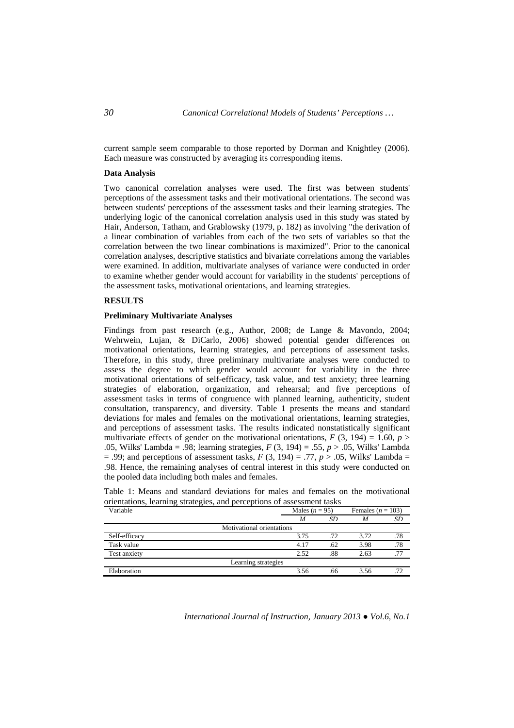current sample seem comparable to those reported by Dorman and Knightley (2006). Each measure was constructed by averaging its corresponding items.

### **Data Analysis**

Two canonical correlation analyses were used. The first was between students' perceptions of the assessment tasks and their motivational orientations. The second was between students' perceptions of the assessment tasks and their learning strategies. The underlying logic of the canonical correlation analysis used in this study was stated by Hair, Anderson, Tatham, and Grablowsky (1979, p. 182) as involving "the derivation of a linear combination of variables from each of the two sets of variables so that the correlation between the two linear combinations is maximized". Prior to the canonical correlation analyses, descriptive statistics and bivariate correlations among the variables were examined. In addition, multivariate analyses of variance were conducted in order to examine whether gender would account for variability in the students' perceptions of the assessment tasks, motivational orientations, and learning strategies.

### **RESULTS**

### **Preliminary Multivariate Analyses**

Findings from past research (e.g., Author, 2008; de Lange & Mavondo, 2004; Wehrwein, Lujan, & DiCarlo, 2006) showed potential gender differences on motivational orientations, learning strategies, and perceptions of assessment tasks. Therefore, in this study, three preliminary multivariate analyses were conducted to assess the degree to which gender would account for variability in the three motivational orientations of self-efficacy, task value, and test anxiety; three learning strategies of elaboration, organization, and rehearsal; and five perceptions of assessment tasks in terms of congruence with planned learning, authenticity, student consultation, transparency, and diversity. Table 1 presents the means and standard deviations for males and females on the motivational orientations, learning strategies, and perceptions of assessment tasks. The results indicated nonstatistically significant multivariate effects of gender on the motivational orientations,  $F(3, 194) = 1.60$ ,  $p >$ .05, Wilks' Lambda = .98; learning strategies, *F* (3, 194) = .55, *p* > .05, Wilks' Lambda  $= .99$ ; and perceptions of assessment tasks,  $F(3, 194) = .77$ ,  $p > .05$ , Wilks' Lambda = .98. Hence, the remaining analyses of central interest in this study were conducted on the pooled data including both males and females.

| Variable      |                           | Males $(n = 95)$ | Females ( $n = 103$ ) |     |  |
|---------------|---------------------------|------------------|-----------------------|-----|--|
|               | M                         | SD               | M                     | SD  |  |
|               | Motivational orientations |                  |                       |     |  |
| Self-efficacy | 3.75                      | .72              | 3.72                  | .78 |  |
| Task value    | 4.17                      | .62              | 3.98                  | .78 |  |
| Test anxiety  | 2.52                      | .88              | 2.63                  | .77 |  |
|               | Learning strategies       |                  |                       |     |  |
| Elaboration   | 3.56                      | .66              | 3.56                  | .72 |  |

Table 1: Means and standard deviations for males and females on the motivational orientations, learning strategies, and perceptions of assessment tasks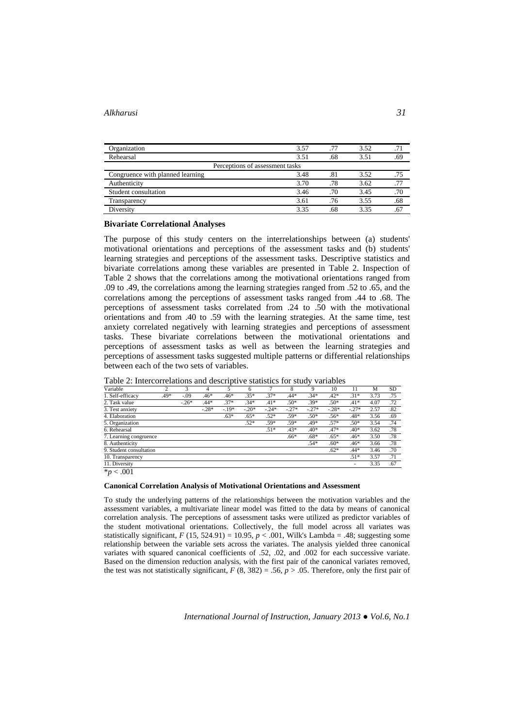| Organization                     | 3.57 | .77 | 3.52 |     |
|----------------------------------|------|-----|------|-----|
| Rehearsal                        | 3.51 | .68 | 3.51 | .69 |
| Perceptions of assessment tasks  |      |     |      |     |
| Congruence with planned learning | 3.48 | .81 | 3.52 | .75 |
| Authenticity                     | 3.70 | .78 | 3.62 | .77 |
| Student consultation             | 3.46 | .70 | 3.45 | .70 |
| Transparency                     | 3.61 | .76 | 3.55 | .68 |
| Diversity                        | 3.35 | .68 | 3.35 | .67 |

#### **Bivariate Correlational Analyses**

The purpose of this study centers on the interrelationships between (a) students' motivational orientations and perceptions of the assessment tasks and (b) students' learning strategies and perceptions of the assessment tasks. Descriptive statistics and bivariate correlations among these variables are presented in Table 2. Inspection of Table 2 shows that the correlations among the motivational orientations ranged from .09 to .49, the correlations among the learning strategies ranged from .52 to .65, and the correlations among the perceptions of assessment tasks ranged from .44 to .68. The perceptions of assessment tasks correlated from .24 to .50 with the motivational orientations and from .40 to .59 with the learning strategies. At the same time, test anxiety correlated negatively with learning strategies and perceptions of assessment tasks. These bivariate correlations between the motivational orientations and perceptions of assessment tasks as well as between the learning strategies and perceptions of assessment tasks suggested multiple patterns or differential relationships between each of the two sets of variables.

| Variable                |        | 3       | 4       |         | 6       |         | 8       | 9       | 10      | 11      | М    | <b>SD</b> |
|-------------------------|--------|---------|---------|---------|---------|---------|---------|---------|---------|---------|------|-----------|
| 1. Self-efficacy        | $.49*$ | $-.09$  | $.46*$  | $.46*$  | $.35*$  | $.37*$  | $.44*$  | $.34*$  | $.42*$  | $.31*$  | 3.73 | .75       |
| 2. Task value           |        | $-.26*$ | $.44*$  | $.37*$  | $.34*$  | $.41*$  | $.50*$  | $.39*$  | $.50*$  | $.41*$  | 4.07 | .72       |
| 3. Test anxiety         |        |         | $-.28*$ | $-.19*$ | $-.20*$ | $-.24*$ | $-.27*$ | $-.27*$ | $-.28*$ | $-.27*$ | 2.57 | .82       |
| 4. Elaboration          |        |         |         | $.63*$  | $.65*$  | $.52*$  | $.59*$  | $.50*$  | $.56*$  | $.48*$  | 3.56 | .69       |
| 5. Organization         |        |         |         |         | $.52*$  | $.59*$  | $.59*$  | $.49*$  | $.57*$  | $.50*$  | 3.54 | .74       |
| 6. Rehearsal            |        |         |         |         |         | $.51*$  | $.43*$  | $.40*$  | $.47*$  | $.40*$  | 3.62 | .78       |
| 7. Learning congruence  |        |         |         |         |         |         | $.66*$  | $.68*$  | $.65*$  | $.46*$  | 3.50 | .78       |
| 8. Authenticity         |        |         |         |         |         |         |         | $.54*$  | $.60*$  | $.46*$  | 3.66 | .78       |
| 9. Student consultation |        |         |         |         |         |         |         |         | $.62*$  | $.44*$  | 3.46 | .70       |
| 10. Transparency        |        |         |         |         |         |         |         |         |         | $.51*$  | 3.57 | .71       |
| 11. Diversity           |        |         |         |         |         |         |         |         |         |         | 3.35 | .67       |
| $*_{\mathbf{p}} > 001$  |        |         |         |         |         |         |         |         |         |         |      |           |

Table 2: Intercorrelations and descriptive statistics for study variables

\**p* < .001

#### **Canonical Correlation Analysis of Motivational Orientations and Assessment**

To study the underlying patterns of the relationships between the motivation variables and the assessment variables, a multivariate linear model was fitted to the data by means of canonical correlation analysis. The perceptions of assessment tasks were utilized as predictor variables of the student motivational orientations. Collectively, the full model across all variates was statistically significant,  $F(15, 524.91) = 10.95$ ,  $p < .001$ , Wilk's Lambda = .48; suggesting some relationship between the variable sets across the variates. The analysis yielded three canonical variates with squared canonical coefficients of .52, .02, and .002 for each successive variate. Based on the dimension reduction analysis, with the first pair of the canonical variates removed, the test was not statistically significant,  $F(8, 382) = .56$ ,  $p > .05$ . Therefore, only the first pair of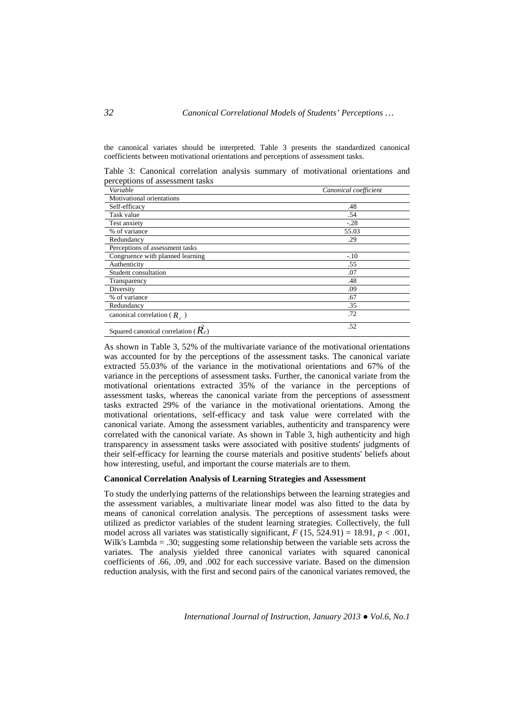the canonical variates should be interpreted. Table 3 presents the standardized canonical coefficients between motivational orientations and perceptions of assessment tasks.

Table 3: Canonical correlation analysis summary of motivational orientations and perceptions of assessment tasks

| Variable                                                 | Canonical coefficient |
|----------------------------------------------------------|-----------------------|
| Motivational orientations                                |                       |
| Self-efficacy                                            | .48                   |
| Task value                                               | .54                   |
| Test anxiety                                             | $-.28$                |
| % of variance                                            | 55.03                 |
| Redundancy                                               | .29                   |
| Perceptions of assessment tasks                          |                       |
| Congruence with planned learning                         | $-.10$                |
| Authenticity                                             | .55                   |
| Student consultation                                     | .07                   |
| Transparency                                             | .48                   |
| Diversity                                                | .09                   |
| % of variance                                            | .67                   |
| Redundancy                                               | .35                   |
| canonical correlation ( $R_a$ )                          | .72                   |
| Squared canonical correlation ( $\mathbf{\vec{R}_{c}}$ ) | .52                   |

As shown in Table 3, 52% of the multivariate variance of the motivational orientations was accounted for by the perceptions of the assessment tasks. The canonical variate extracted 55.03% of the variance in the motivational orientations and 67% of the variance in the perceptions of assessment tasks. Further, the canonical variate from the motivational orientations extracted 35% of the variance in the perceptions of assessment tasks, whereas the canonical variate from the perceptions of assessment tasks extracted 29% of the variance in the motivational orientations. Among the motivational orientations, self-efficacy and task value were correlated with the canonical variate. Among the assessment variables, authenticity and transparency were correlated with the canonical variate. As shown in Table 3, high authenticity and high transparency in assessment tasks were associated with positive students' judgments of their self-efficacy for learning the course materials and positive students' beliefs about how interesting, useful, and important the course materials are to them.

### **Canonical Correlation Analysis of Learning Strategies and Assessment**

To study the underlying patterns of the relationships between the learning strategies and the assessment variables, a multivariate linear model was also fitted to the data by means of canonical correlation analysis. The perceptions of assessment tasks were utilized as predictor variables of the student learning strategies. Collectively, the full model across all variates was statistically significant,  $F(15, 524.91) = 18.91$ ,  $p < .001$ , Wilk's Lambda = .30; suggesting some relationship between the variable sets across the variates. The analysis yielded three canonical variates with squared canonical coefficients of .66, .09, and .002 for each successive variate. Based on the dimension reduction analysis, with the first and second pairs of the canonical variates removed, the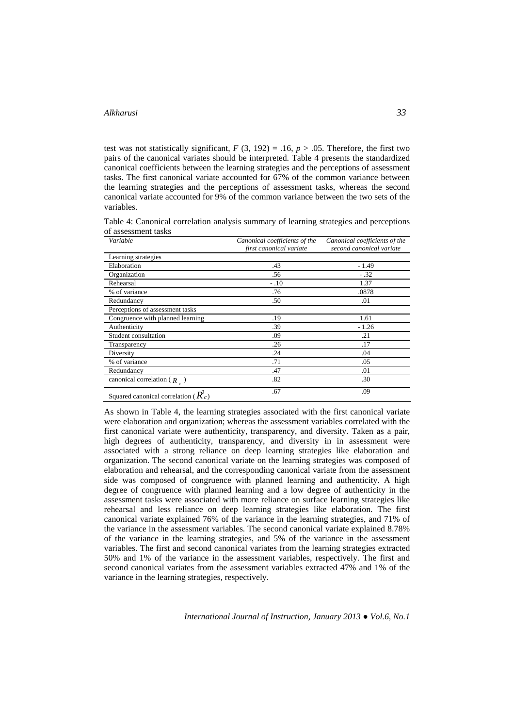test was not statistically significant,  $F(3, 192) = .16$ ,  $p > .05$ . Therefore, the first two pairs of the canonical variates should be interpreted. Table 4 presents the standardized canonical coefficients between the learning strategies and the perceptions of assessment tasks. The first canonical variate accounted for 67% of the common variance between the learning strategies and the perceptions of assessment tasks, whereas the second canonical variate accounted for 9% of the common variance between the two sets of the variables.

Table 4: Canonical correlation analysis summary of learning strategies and perceptions of assessment tasks

| Variable                               | Canonical coefficients of the<br>first canonical variate | Canonical coefficients of the<br>second canonical variate |
|----------------------------------------|----------------------------------------------------------|-----------------------------------------------------------|
| Learning strategies                    |                                                          |                                                           |
| Elaboration                            | .43                                                      | $-1.49$                                                   |
| Organization                           | .56                                                      | $-.32$                                                    |
| Rehearsal                              | $-.10$                                                   | 1.37                                                      |
| % of variance                          | .76                                                      | .0878                                                     |
| Redundancy                             | .50                                                      | .01                                                       |
| Perceptions of assessment tasks        |                                                          |                                                           |
| Congruence with planned learning       | .19                                                      | 1.61                                                      |
| Authenticity                           | .39                                                      | $-1.26$                                                   |
| Student consultation                   | .09                                                      | .21                                                       |
| Transparency                           | .26                                                      | .17                                                       |
| Diversity                              | .24                                                      | .04                                                       |
| % of variance                          | .71                                                      | .05                                                       |
| Redundancy                             | .47                                                      | .01                                                       |
| canonical correlation ( $R_c$ )        | .82                                                      | .30                                                       |
| $\alpha$ , $\beta$ , $\beta$ , $\beta$ | .67                                                      | .09                                                       |

Squared canonical correlation ( $\mathcal{R}_c$ )

As shown in Table 4, the learning strategies associated with the first canonical variate were elaboration and organization; whereas the assessment variables correlated with the first canonical variate were authenticity, transparency, and diversity. Taken as a pair, high degrees of authenticity, transparency, and diversity in in assessment were associated with a strong reliance on deep learning strategies like elaboration and organization. The second canonical variate on the learning strategies was composed of elaboration and rehearsal, and the corresponding canonical variate from the assessment side was composed of congruence with planned learning and authenticity. A high degree of congruence with planned learning and a low degree of authenticity in the assessment tasks were associated with more reliance on surface learning strategies like rehearsal and less reliance on deep learning strategies like elaboration. The first canonical variate explained 76% of the variance in the learning strategies, and 71% of the variance in the assessment variables. The second canonical variate explained 8.78% of the variance in the learning strategies, and 5% of the variance in the assessment variables. The first and second canonical variates from the learning strategies extracted 50% and 1% of the variance in the assessment variables, respectively. The first and second canonical variates from the assessment variables extracted 47% and 1% of the variance in the learning strategies, respectively.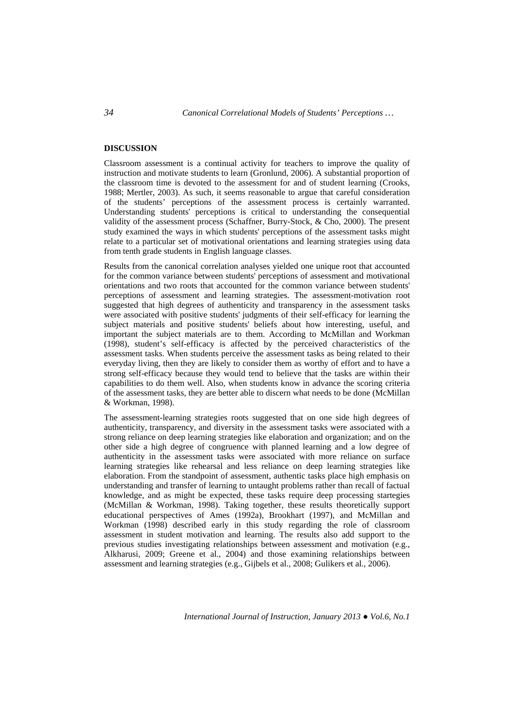### **DISCUSSION**

Classroom assessment is a continual activity for teachers to improve the quality of instruction and motivate students to learn (Gronlund, 2006). A substantial proportion of the classroom time is devoted to the assessment for and of student learning (Crooks, 1988; Mertler, 2003). As such, it seems reasonable to argue that careful consideration of the students' perceptions of the assessment process is certainly warranted. Understanding students' perceptions is critical to understanding the consequential validity of the assessment process (Schaffner, Burry-Stock, & Cho, 2000). The present study examined the ways in which students' perceptions of the assessment tasks might relate to a particular set of motivational orientations and learning strategies using data from tenth grade students in English language classes.

Results from the canonical correlation analyses yielded one unique root that accounted for the common variance between students' perceptions of assessment and motivational orientations and two roots that accounted for the common variance between students' perceptions of assessment and learning strategies. The assessment-motivation root suggested that high degrees of authenticity and transparency in the assessment tasks were associated with positive students' judgments of their self-efficacy for learning the subject materials and positive students' beliefs about how interesting, useful, and important the subject materials are to them. According to McMillan and Workman (1998), student's self-efficacy is affected by the perceived characteristics of the assessment tasks. When students perceive the assessment tasks as being related to their everyday living, then they are likely to consider them as worthy of effort and to have a strong self-efficacy because they would tend to believe that the tasks are within their capabilities to do them well. Also, when students know in advance the scoring criteria of the assessment tasks, they are better able to discern what needs to be done (McMillan & Workman, 1998).

The assessment-learning strategies roots suggested that on one side high degrees of authenticity, transparency, and diversity in the assessment tasks were associated with a strong reliance on deep learning strategies like elaboration and organization; and on the other side a high degree of congruence with planned learning and a low degree of authenticity in the assessment tasks were associated with more reliance on surface learning strategies like rehearsal and less reliance on deep learning strategies like elaboration. From the standpoint of assessment, authentic tasks place high emphasis on understanding and transfer of learning to untaught problems rather than recall of factual knowledge, and as might be expected, these tasks require deep processing startegies (McMillan & Workman, 1998). Taking together, these results theoretically support educational perspectives of Ames (1992a), Brookhart (1997), and McMillan and Workman (1998) described early in this study regarding the role of classroom assessment in student motivation and learning. The results also add support to the previous studies investigating relationships between assessment and motivation (e.g., Alkharusi, 2009; Greene et al., 2004) and those examining relationships between assessment and learning strategies (e.g., Gijbels et al., 2008; Gulikers et al., 2006).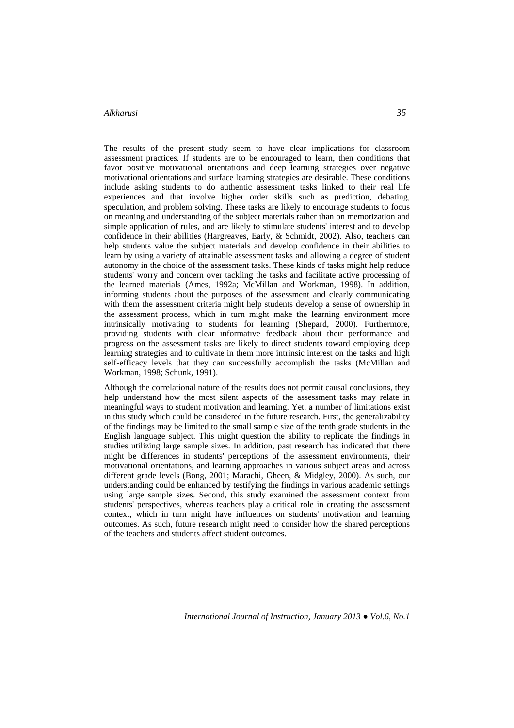The results of the present study seem to have clear implications for classroom assessment practices. If students are to be encouraged to learn, then conditions that favor positive motivational orientations and deep learning strategies over negative motivational orientations and surface learning strategies are desirable. These conditions include asking students to do authentic assessment tasks linked to their real life experiences and that involve higher order skills such as prediction, debating, speculation, and problem solving. These tasks are likely to encourage students to focus on meaning and understanding of the subject materials rather than on memorization and simple application of rules, and are likely to stimulate students' interest and to develop confidence in their abilities (Hargreaves, Early, & Schmidt, 2002). Also, teachers can help students value the subject materials and develop confidence in their abilities to learn by using a variety of attainable assessment tasks and allowing a degree of student autonomy in the choice of the assessment tasks. These kinds of tasks might help reduce students' worry and concern over tackling the tasks and facilitate active processing of the learned materials (Ames, 1992a; McMillan and Workman, 1998). In addition, informing students about the purposes of the assessment and clearly communicating with them the assessment criteria might help students develop a sense of ownership in the assessment process, which in turn might make the learning environment more intrinsically motivating to students for learning (Shepard, 2000). Furthermore, providing students with clear informative feedback about their performance and progress on the assessment tasks are likely to direct students toward employing deep learning strategies and to cultivate in them more intrinsic interest on the tasks and high self-efficacy levels that they can successfully accomplish the tasks (McMillan and Workman, 1998; Schunk, 1991).

Although the correlational nature of the results does not permit causal conclusions, they help understand how the most silent aspects of the assessment tasks may relate in meaningful ways to student motivation and learning. Yet, a number of limitations exist in this study which could be considered in the future research. First, the generalizability of the findings may be limited to the small sample size of the tenth grade students in the English language subject. This might question the ability to replicate the findings in studies utilizing large sample sizes. In addition, past research has indicated that there might be differences in students' perceptions of the assessment environments, their motivational orientations, and learning approaches in various subject areas and across different grade levels (Bong, 2001; Marachi, Gheen, & Midgley, 2000). As such, our understanding could be enhanced by testifying the findings in various academic settings using large sample sizes. Second, this study examined the assessment context from students' perspectives, whereas teachers play a critical role in creating the assessment context, which in turn might have influences on students' motivation and learning outcomes. As such, future research might need to consider how the shared perceptions of the teachers and students affect student outcomes.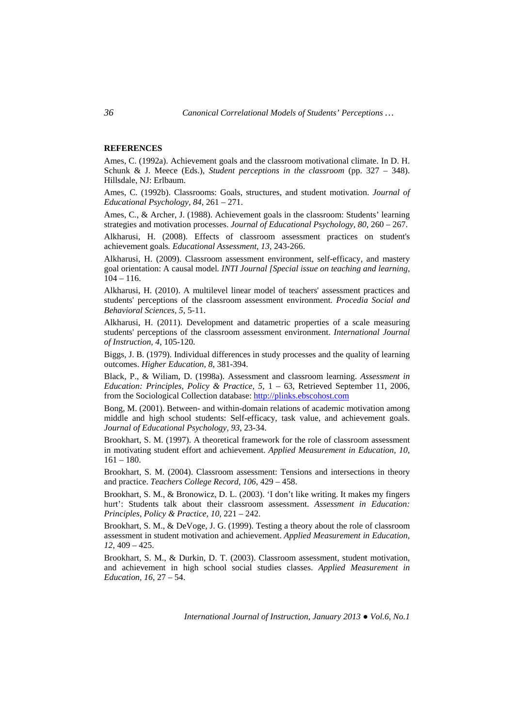## **REFERENCES**

Ames, C. (1992a). Achievement goals and the classroom motivational climate. In D. H. Schunk & J. Meece (Eds.), *Student perceptions in the classroom* (pp. 327 – 348). Hillsdale, NJ: Erlbaum.

Ames, C. (1992b). Classrooms: Goals, structures, and student motivation. *Journal of Educational Psychology, 84*, 261 – 271.

Ames, C., & Archer, J. (1988). Achievement goals in the classroom: Students' learning strategies and motivation processes. *Journal of Educational Psychology, 80*, 260 – 267.

Alkharusi, H. (2008). Effects of classroom assessment practices on student's achievement goals*. Educational Assessment, 13*, 243-266.

Alkharusi, H. (2009). Classroom assessment environment, self-efficacy, and mastery goal orientation: A causal model*. INTI Journal [Special issue on teaching and learning,*   $104 - 116$ .

Alkharusi, H. (2010). A multilevel linear model of teachers' assessment practices and students' perceptions of the classroom assessment environment*. Procedia Social and Behavioral Sciences, 5*, 5-11.

Alkharusi, H. (2011). Development and datametric properties of a scale measuring students' perceptions of the classroom assessment environment. *International Journal of Instruction, 4*, 105-120.

Biggs, J. B. (1979). Individual differences in study processes and the quality of learning outcomes. *Higher Education, 8*, 381-394.

Black, P., & Wiliam, D. (1998a). Assessment and classroom learning. *Assessment in Education: Principles, Policy & Practice, 5,* 1 – 63, Retrieved September 11, 2006, from the Sociological Collection database: http://plinks.ebscohost.com

Bong, M. (2001). Between- and within-domain relations of academic motivation among middle and high school students: Self-efficacy, task value, and achievement goals. *Journal of Educational Psychology, 93*, 23-34.

Brookhart, S. M. (1997). A theoretical framework for the role of classroom assessment in motivating student effort and achievement. *Applied Measurement in Education, 10*,  $161 - 180.$ 

Brookhart, S. M. (2004). Classroom assessment: Tensions and intersections in theory and practice. *Teachers College Record, 106*, 429 – 458.

Brookhart, S. M., & Bronowicz, D. L. (2003). 'I don't like writing. It makes my fingers hurt': Students talk about their classroom assessment. *Assessment in Education: Principles, Policy & Practice, 10,* 221 – 242.

Brookhart, S. M., & DeVoge, J. G. (1999). Testing a theory about the role of classroom assessment in student motivation and achievement. *Applied Measurement in Education, 12*, 409 – 425.

Brookhart, S. M., & Durkin, D. T. (2003). Classroom assessment, student motivation, and achievement in high school social studies classes. *Applied Measurement in Education, 16*, 27 – 54.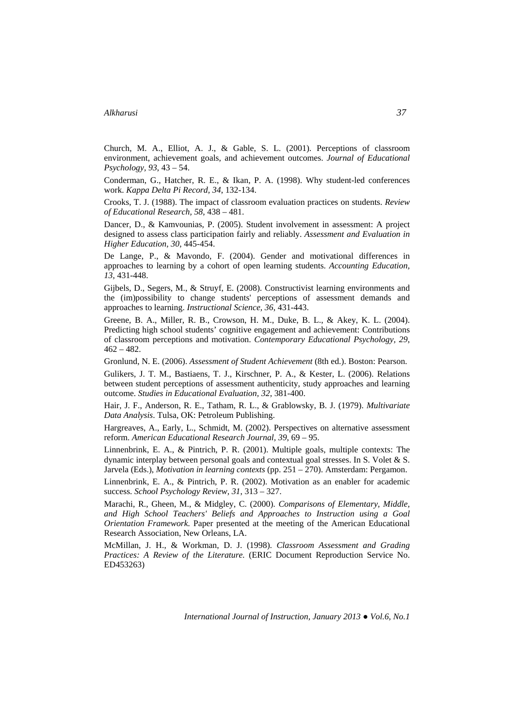Church, M. A., Elliot, A. J., & Gable, S. L. (2001). Perceptions of classroom environment, achievement goals, and achievement outcomes. *Journal of Educational Psychology, 93*, 43 – 54.

Conderman, G., Hatcher, R. E., & Ikan, P. A. (1998). Why student-led conferences work. *Kappa Delta Pi Record, 34*, 132-134.

Crooks, T. J. (1988). The impact of classroom evaluation practices on students. *Review of Educational Research, 58*, 438 – 481.

Dancer, D., & Kamvounias, P. (2005). Student involvement in assessment: A project designed to assess class participation fairly and reliably. *Assessment and Evaluation in Higher Education, 30*, 445-454.

De Lange, P., & Mavondo, F. (2004). Gender and motivational differences in approaches to learning by a cohort of open learning students. *Accounting Education, 13*, 431-448.

Gijbels, D., Segers, M., & Struyf, E. (2008). Constructivist learning environments and the (im)possibility to change students' perceptions of assessment demands and approaches to learning. *Instructional Science, 36*, 431-443.

Greene, B. A., Miller, R. B., Crowson, H. M., Duke, B. L., & Akey, K. L. (2004). Predicting high school students' cognitive engagement and achievement: Contributions of classroom perceptions and motivation. *Contemporary Educational Psychology, 29*,  $462 - 482.$ 

Gronlund, N. E. (2006). *Assessment of Student Achievement* (8th ed.). Boston: Pearson.

Gulikers, J. T. M., Bastiaens, T. J., Kirschner, P. A., & Kester, L. (2006). Relations between student perceptions of assessment authenticity, study approaches and learning outcome. *Studies in Educational Evaluation, 32*, 381-400.

Hair, J. F., Anderson, R. E., Tatham, R. L., & Grablowsky, B. J. (1979). *Multivariate Data Analysis*. Tulsa, OK: Petroleum Publishing.

Hargreaves, A., Early, L., Schmidt, M. (2002). Perspectives on alternative assessment reform. *American Educational Research Journal, 39*, 69 – 95.

Linnenbrink, E. A., & Pintrich, P. R. (2001). Multiple goals, multiple contexts: The dynamic interplay between personal goals and contextual goal stresses. In S. Volet & S. Jarvela (Eds.), *Motivation in learning contexts* (pp. 251 – 270). Amsterdam: Pergamon.

Linnenbrink, E. A., & Pintrich, P. R. (2002). Motivation as an enabler for academic success. *School Psychology Review, 31*, 313 – 327.

Marachi, R., Gheen, M., & Midgley, C. (2000). *Comparisons of Elementary, Middle, and High School Teachers' Beliefs and Approaches to Instruction using a Goal Orientation Framework.* Paper presented at the meeting of the American Educational Research Association, New Orleans, LA.

McMillan, J. H., & Workman, D. J. (1998). *Classroom Assessment and Grading Practices: A Review of the Literature.* (ERIC Document Reproduction Service No. ED453263)